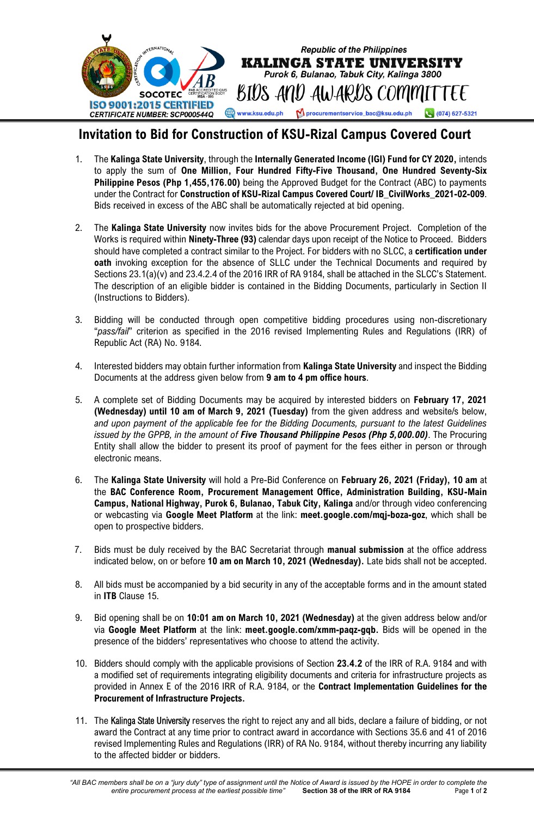

## **Invitation to Bid for Construction of KSU-Rizal Campus Covered Court**

(074) 627-5321

- 1. The **Kalinga State University**, through the **Internally Generated Income (IGI) Fund for CY 2020,** intends to apply the sum of **One Million, Four Hundred Fifty-Five Thousand, One Hundred Seventy-Six Philippine Pesos (Php 1,455,176.00)** being the Approved Budget for the Contract (ABC) to payments under the Contract for **Construction of KSU-Rizal Campus Covered Court/ IB\_CivilWorks\_2021-02-009**. Bids received in excess of the ABC shall be automatically rejected at bid opening.
- 2. The **Kalinga State University** now invites bids for the above Procurement Project. Completion of the Works is required within **Ninety-Three (93)** calendar days upon receipt of the Notice to Proceed. Bidders should have completed a contract similar to the Project. For bidders with no SLCC, a **certification under oath** invoking exception for the absence of SLLC under the Technical Documents and required by Sections 23.1(a)(v) and 23.4.2.4 of the 2016 IRR of RA 9184, shall be attached in the SLCC's Statement. The description of an eligible bidder is contained in the Bidding Documents, particularly in Section II (Instructions to Bidders).
- 3. Bidding will be conducted through open competitive bidding procedures using non-discretionary "*pass/fail*" criterion as specified in the 2016 revised Implementing Rules and Regulations (IRR) of Republic Act (RA) No. 9184.
- 4. Interested bidders may obtain further information from **Kalinga State University** and inspect the Bidding Documents at the address given below from **9 am to 4 pm office hours**.
- 5. A complete set of Bidding Documents may be acquired by interested bidders on **February 17, 2021 (Wednesday) until 10 am of March 9, 2021 (Tuesday)** from the given address and website/s below, *and upon payment of the applicable fee for the Bidding Documents, pursuant to the latest Guidelines issued by the GPPB, in the amount of Five Thousand Philippine Pesos (Php 5,000.00)*. The Procuring Entity shall allow the bidder to present its proof of payment for the fees either in person or through electronic means.
- 6. The **Kalinga State University** will hold a Pre-Bid Conference on **February 26, 2021 (Friday), 10 am** at the **BAC Conference Room, Procurement Management Office, Administration Building, KSU-Main Campus, National Highway, Purok 6, Bulanao, Tabuk City, Kalinga** and/or through video conferencing or webcasting via **Google Meet Platform** at the link: **meet.google.com/mqj-boza-goz**, which shall be open to prospective bidders.
- 7. Bids must be duly received by the BAC Secretariat through **manual submission** at the office address indicated below, on or before **10 am on March 10, 2021 (Wednesday).** Late bids shall not be accepted.
- 8. All bids must be accompanied by a bid security in any of the acceptable forms and in the amount stated in **ITB** Clause 15.
- 9. Bid opening shall be on **10:01 am on March 10, 2021 (Wednesday)** at the given address below and/or via **Google Meet Platform** at the link: **meet.google.com/xmm-paqz-gqb.** Bids will be opened in the presence of the bidders' representatives who choose to attend the activity.
- 10. Bidders should comply with the applicable provisions of Section **23.4.2** of the IRR of R.A. 9184 and with a modified set of requirements integrating eligibility documents and criteria for infrastructure projects as provided in Annex E of the 2016 IRR of R.A. 9184, or the **Contract Implementation Guidelines for the Procurement of Infrastructure Projects.**
- 11. The Kalinga State University reserves the right to reject any and all bids, declare a failure of bidding, or not award the Contract at any time prior to contract award in accordance with Sections 35.6 and 41 of 2016 revised Implementing Rules and Regulations (IRR) of RA No. 9184, without thereby incurring any liability to the affected bidder or bidders.